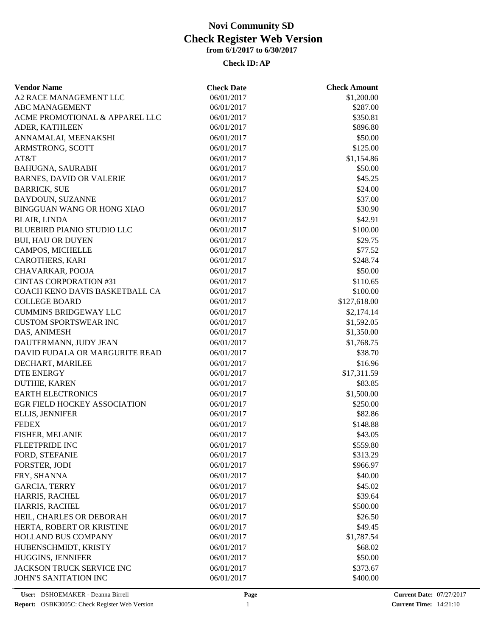| <b>Vendor Name</b>                      | <b>Check Date</b> | <b>Check Amount</b>  |  |
|-----------------------------------------|-------------------|----------------------|--|
| A2 RACE MANAGEMENT LLC                  | 06/01/2017        | \$1,200.00           |  |
| <b>ABC MANAGEMENT</b>                   | 06/01/2017        | \$287.00             |  |
| ACME PROMOTIONAL & APPAREL LLC          | 06/01/2017        | \$350.81             |  |
| ADER, KATHLEEN                          | 06/01/2017        | \$896.80             |  |
| ANNAMALAI, MEENAKSHI                    | 06/01/2017        | \$50.00              |  |
| ARMSTRONG, SCOTT                        | 06/01/2017        | \$125.00             |  |
| AT&T                                    | 06/01/2017        | \$1,154.86           |  |
| <b>BAHUGNA, SAURABH</b>                 | 06/01/2017        | \$50.00              |  |
| <b>BARNES, DAVID OR VALERIE</b>         | 06/01/2017        | \$45.25              |  |
| <b>BARRICK, SUE</b>                     | 06/01/2017        | \$24.00              |  |
| <b>BAYDOUN, SUZANNE</b>                 | 06/01/2017        | \$37.00              |  |
| BINGGUAN WANG OR HONG XIAO              | 06/01/2017        | \$30.90              |  |
| <b>BLAIR, LINDA</b>                     | 06/01/2017        | \$42.91              |  |
| <b>BLUEBIRD PIANIO STUDIO LLC</b>       | 06/01/2017        | \$100.00             |  |
| <b>BUI, HAU OR DUYEN</b>                | 06/01/2017        | \$29.75              |  |
| CAMPOS, MICHELLE                        | 06/01/2017        | \$77.52              |  |
| CAROTHERS, KARI                         | 06/01/2017        | \$248.74             |  |
| CHAVARKAR, POOJA                        | 06/01/2017        | \$50.00              |  |
| <b>CINTAS CORPORATION #31</b>           | 06/01/2017        | \$110.65             |  |
| COACH KENO DAVIS BASKETBALL CA          | 06/01/2017        | \$100.00             |  |
| <b>COLLEGE BOARD</b>                    | 06/01/2017        | \$127,618.00         |  |
| <b>CUMMINS BRIDGEWAY LLC</b>            | 06/01/2017        | \$2,174.14           |  |
| <b>CUSTOM SPORTSWEAR INC</b>            | 06/01/2017        | \$1,592.05           |  |
| DAS, ANIMESH                            | 06/01/2017        | \$1,350.00           |  |
| DAUTERMANN, JUDY JEAN                   | 06/01/2017        | \$1,768.75           |  |
| DAVID FUDALA OR MARGURITE READ          | 06/01/2017        | \$38.70              |  |
| DECHART, MARILEE                        | 06/01/2017        | \$16.96              |  |
| <b>DTE ENERGY</b>                       | 06/01/2017        | \$17,311.59          |  |
| DUTHIE, KAREN                           | 06/01/2017        | \$83.85              |  |
| <b>EARTH ELECTRONICS</b>                | 06/01/2017        | \$1,500.00           |  |
| EGR FIELD HOCKEY ASSOCIATION            | 06/01/2017        | \$250.00             |  |
| ELLIS, JENNIFER                         | 06/01/2017        | \$82.86              |  |
| <b>FEDEX</b>                            | 06/01/2017        | \$148.88             |  |
| FISHER, MELANIE                         | 06/01/2017        | \$43.05              |  |
|                                         | 06/01/2017        |                      |  |
| <b>FLEETPRIDE INC</b><br>FORD, STEFANIE | 06/01/2017        | \$559.80<br>\$313.29 |  |
|                                         |                   |                      |  |
| FORSTER, JODI                           | 06/01/2017        | \$966.97             |  |
| FRY, SHANNA                             | 06/01/2017        | \$40.00              |  |
| <b>GARCIA, TERRY</b>                    | 06/01/2017        | \$45.02              |  |
| HARRIS, RACHEL                          | 06/01/2017        | \$39.64              |  |
| HARRIS, RACHEL                          | 06/01/2017        | \$500.00             |  |
| HEIL, CHARLES OR DEBORAH                | 06/01/2017        | \$26.50              |  |
| HERTA, ROBERT OR KRISTINE               | 06/01/2017        | \$49.45              |  |
| HOLLAND BUS COMPANY                     | 06/01/2017        | \$1,787.54           |  |
| HUBENSCHMIDT, KRISTY                    | 06/01/2017        | \$68.02              |  |
| HUGGINS, JENNIFER                       | 06/01/2017        | \$50.00              |  |
| <b>JACKSON TRUCK SERVICE INC</b>        | 06/01/2017        | \$373.67             |  |
| JOHN'S SANITATION INC                   | 06/01/2017        | \$400.00             |  |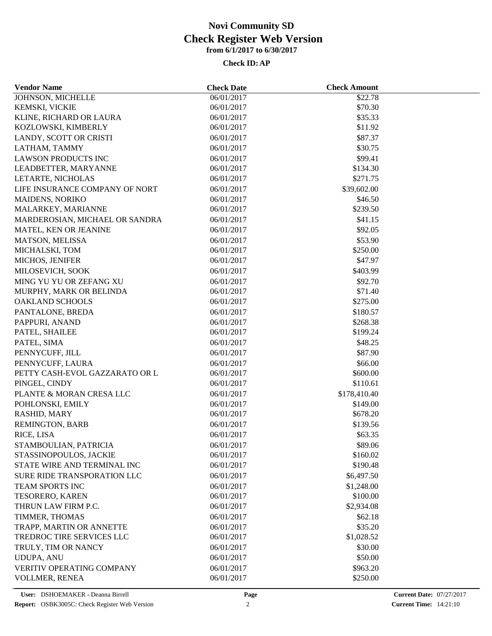| <b>Vendor Name</b>             | <b>Check Date</b> | <b>Check Amount</b> |  |
|--------------------------------|-------------------|---------------------|--|
| <b>JOHNSON, MICHELLE</b>       | 06/01/2017        | \$22.78             |  |
| KEMSKI, VICKIE                 | 06/01/2017        | \$70.30             |  |
| KLINE, RICHARD OR LAURA        | 06/01/2017        | \$35.33             |  |
| KOZLOWSKI, KIMBERLY            | 06/01/2017        | \$11.92             |  |
| LANDY, SCOTT OR CRISTI         | 06/01/2017        | \$87.37             |  |
| LATHAM, TAMMY                  | 06/01/2017        | \$30.75             |  |
| <b>LAWSON PRODUCTS INC</b>     | 06/01/2017        | \$99.41             |  |
| LEADBETTER, MARYANNE           | 06/01/2017        | \$134.30            |  |
| LETARTE, NICHOLAS              | 06/01/2017        | \$271.75            |  |
| LIFE INSURANCE COMPANY OF NORT | 06/01/2017        | \$39,602.00         |  |
| MAIDENS, NORIKO                | 06/01/2017        | \$46.50             |  |
| MALARKEY, MARIANNE             | 06/01/2017        | \$239.50            |  |
| MARDEROSIAN, MICHAEL OR SANDRA | 06/01/2017        | \$41.15             |  |
| MATEL, KEN OR JEANINE          | 06/01/2017        | \$92.05             |  |
| MATSON, MELISSA                | 06/01/2017        | \$53.90             |  |
| MICHALSKI, TOM                 | 06/01/2017        | \$250.00            |  |
| MICHOS, JENIFER                | 06/01/2017        | \$47.97             |  |
| MILOSEVICH, SOOK               | 06/01/2017        | \$403.99            |  |
| MING YU YU OR ZEFANG XU        | 06/01/2017        | \$92.70             |  |
| MURPHY, MARK OR BELINDA        | 06/01/2017        | \$71.40             |  |
| OAKLAND SCHOOLS                | 06/01/2017        | \$275.00            |  |
| PANTALONE, BREDA               | 06/01/2017        | \$180.57            |  |
| PAPPURI, ANAND                 | 06/01/2017        | \$268.38            |  |
| PATEL, SHAILEE                 | 06/01/2017        | \$199.24            |  |
| PATEL, SIMA                    | 06/01/2017        | \$48.25             |  |
| PENNYCUFF, JILL                | 06/01/2017        | \$87.90             |  |
| PENNYCUFF, LAURA               | 06/01/2017        | \$66.00             |  |
| PETTY CASH-EVOL GAZZARATO OR L | 06/01/2017        | \$600.00            |  |
| PINGEL, CINDY                  | 06/01/2017        | \$110.61            |  |
| PLANTE & MORAN CRESA LLC       | 06/01/2017        | \$178,410.40        |  |
| POHLONSKI, EMILY               | 06/01/2017        | \$149.00            |  |
| RASHID, MARY                   | 06/01/2017        | \$678.20            |  |
| REMINGTON, BARB                | 06/01/2017        | \$139.56            |  |
| RICE, LISA                     | 06/01/2017        | \$63.35             |  |
| STAMBOULIAN, PATRICIA          | 06/01/2017        | \$89.06             |  |
| STASSINOPOULOS, JACKIE         | 06/01/2017        | \$160.02            |  |
| STATE WIRE AND TERMINAL INC    | 06/01/2017        | \$190.48            |  |
| SURE RIDE TRANSPORATION LLC    | 06/01/2017        | \$6,497.50          |  |
| TEAM SPORTS INC                | 06/01/2017        | \$1,248.00          |  |
| TESORERO, KAREN                | 06/01/2017        | \$100.00            |  |
| THRUN LAW FIRM P.C.            | 06/01/2017        | \$2,934.08          |  |
| TIMMER, THOMAS                 | 06/01/2017        | \$62.18             |  |
| TRAPP, MARTIN OR ANNETTE       | 06/01/2017        | \$35.20             |  |
| TREDROC TIRE SERVICES LLC      | 06/01/2017        | \$1,028.52          |  |
| TRULY, TIM OR NANCY            | 06/01/2017        | \$30.00             |  |
| <b>UDUPA, ANU</b>              | 06/01/2017        | \$50.00             |  |
| VERITIV OPERATING COMPANY      | 06/01/2017        | \$963.20            |  |
| VOLLMER, RENEA                 | 06/01/2017        | \$250.00            |  |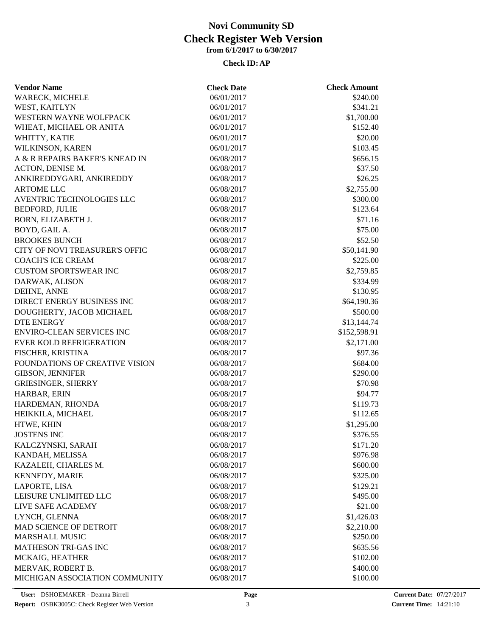| <b>Vendor Name</b>               | <b>Check Date</b> | <b>Check Amount</b> |  |
|----------------------------------|-------------------|---------------------|--|
| WARECK, MICHELE                  | 06/01/2017        | \$240.00            |  |
| WEST, KAITLYN                    | 06/01/2017        | \$341.21            |  |
| WESTERN WAYNE WOLFPACK           | 06/01/2017        | \$1,700.00          |  |
| WHEAT, MICHAEL OR ANITA          | 06/01/2017        | \$152.40            |  |
| WHITTY, KATIE                    | 06/01/2017        | \$20.00             |  |
| WILKINSON, KAREN                 | 06/01/2017        | \$103.45            |  |
| A & R REPAIRS BAKER'S KNEAD IN   | 06/08/2017        | \$656.15            |  |
| ACTON, DENISE M.                 | 06/08/2017        | \$37.50             |  |
| ANKIREDDYGARI, ANKIREDDY         | 06/08/2017        | \$26.25             |  |
| <b>ARTOME LLC</b>                | 06/08/2017        | \$2,755.00          |  |
| AVENTRIC TECHNOLOGIES LLC        | 06/08/2017        | \$300.00            |  |
| <b>BEDFORD, JULIE</b>            | 06/08/2017        | \$123.64            |  |
| BORN, ELIZABETH J.               | 06/08/2017        | \$71.16             |  |
| BOYD, GAIL A.                    | 06/08/2017        | \$75.00             |  |
| <b>BROOKES BUNCH</b>             | 06/08/2017        | \$52.50             |  |
| CITY OF NOVI TREASURER'S OFFIC   | 06/08/2017        | \$50,141.90         |  |
| <b>COACH'S ICE CREAM</b>         | 06/08/2017        | \$225.00            |  |
| <b>CUSTOM SPORTSWEAR INC</b>     | 06/08/2017        | \$2,759.85          |  |
| DARWAK, ALISON                   | 06/08/2017        | \$334.99            |  |
| DEHNE, ANNE                      | 06/08/2017        | \$130.95            |  |
| DIRECT ENERGY BUSINESS INC       | 06/08/2017        | \$64,190.36         |  |
| DOUGHERTY, JACOB MICHAEL         | 06/08/2017        | \$500.00            |  |
| <b>DTE ENERGY</b>                | 06/08/2017        | \$13,144.74         |  |
| <b>ENVIRO-CLEAN SERVICES INC</b> | 06/08/2017        | \$152,598.91        |  |
| <b>EVER KOLD REFRIGERATION</b>   | 06/08/2017        | \$2,171.00          |  |
| FISCHER, KRISTINA                | 06/08/2017        | \$97.36             |  |
| FOUNDATIONS OF CREATIVE VISION   | 06/08/2017        | \$684.00            |  |
| <b>GIBSON, JENNIFER</b>          | 06/08/2017        | \$290.00            |  |
| <b>GRIESINGER, SHERRY</b>        | 06/08/2017        | \$70.98             |  |
| HARBAR, ERIN                     | 06/08/2017        | \$94.77             |  |
| HARDEMAN, RHONDA                 | 06/08/2017        | \$119.73            |  |
| HEIKKILA, MICHAEL                | 06/08/2017        | \$112.65            |  |
| HTWE, KHIN                       | 06/08/2017        | \$1,295.00          |  |
| <b>JOSTENS INC</b>               | 06/08/2017        | \$376.55            |  |
| KALCZYNSKI, SARAH                | 06/08/2017        | \$171.20            |  |
| KANDAH, MELISSA                  | 06/08/2017        | \$976.98            |  |
| KAZALEH, CHARLES M.              | 06/08/2017        | \$600.00            |  |
| <b>KENNEDY, MARIE</b>            | 06/08/2017        | \$325.00            |  |
| LAPORTE, LISA                    | 06/08/2017        | \$129.21            |  |
| LEISURE UNLIMITED LLC            | 06/08/2017        | \$495.00            |  |
| LIVE SAFE ACADEMY                | 06/08/2017        | \$21.00             |  |
|                                  |                   | \$1,426.03          |  |
| LYNCH, GLENNA                    | 06/08/2017        |                     |  |
| MAD SCIENCE OF DETROIT           | 06/08/2017        | \$2,210.00          |  |
| <b>MARSHALL MUSIC</b>            | 06/08/2017        | \$250.00            |  |
| MATHESON TRI-GAS INC             | 06/08/2017        | \$635.56            |  |
| MCKAIG, HEATHER                  | 06/08/2017        | \$102.00            |  |
| MERVAK, ROBERT B.                | 06/08/2017        | \$400.00            |  |
| MICHIGAN ASSOCIATION COMMUNITY   | 06/08/2017        | \$100.00            |  |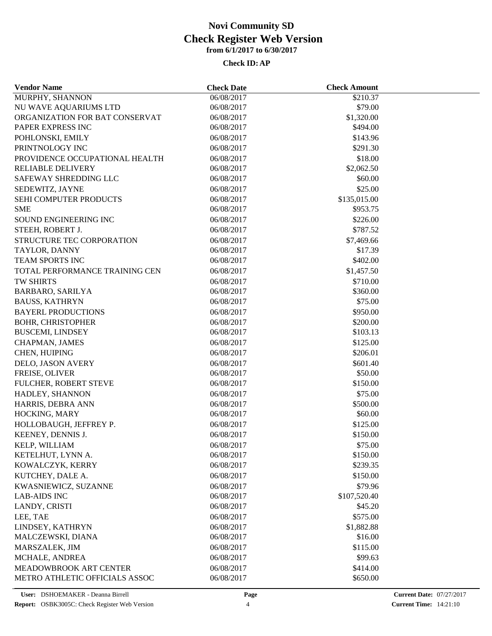| <b>Vendor Name</b>             | <b>Check Date</b> | <b>Check Amount</b> |  |
|--------------------------------|-------------------|---------------------|--|
| MURPHY, SHANNON                | 06/08/2017        | \$210.37            |  |
| NU WAVE AQUARIUMS LTD          | 06/08/2017        | \$79.00             |  |
| ORGANIZATION FOR BAT CONSERVAT | 06/08/2017        | \$1,320.00          |  |
| PAPER EXPRESS INC              | 06/08/2017        | \$494.00            |  |
| POHLONSKI, EMILY               | 06/08/2017        | \$143.96            |  |
| PRINTNOLOGY INC                | 06/08/2017        | \$291.30            |  |
| PROVIDENCE OCCUPATIONAL HEALTH | 06/08/2017        | \$18.00             |  |
| <b>RELIABLE DELIVERY</b>       | 06/08/2017        | \$2,062.50          |  |
| SAFEWAY SHREDDING LLC          | 06/08/2017        | \$60.00             |  |
| SEDEWITZ, JAYNE                | 06/08/2017        | \$25.00             |  |
| SEHI COMPUTER PRODUCTS         | 06/08/2017        | \$135,015.00        |  |
| <b>SME</b>                     | 06/08/2017        | \$953.75            |  |
| SOUND ENGINEERING INC          | 06/08/2017        | \$226.00            |  |
| STEEH, ROBERT J.               | 06/08/2017        | \$787.52            |  |
| STRUCTURE TEC CORPORATION      | 06/08/2017        | \$7,469.66          |  |
| TAYLOR, DANNY                  | 06/08/2017        | \$17.39             |  |
| TEAM SPORTS INC                | 06/08/2017        | \$402.00            |  |
| TOTAL PERFORMANCE TRAINING CEN | 06/08/2017        | \$1,457.50          |  |
| TW SHIRTS                      | 06/08/2017        | \$710.00            |  |
| <b>BARBARO, SARILYA</b>        | 06/08/2017        | \$360.00            |  |
| <b>BAUSS, KATHRYN</b>          | 06/08/2017        | \$75.00             |  |
| <b>BAYERL PRODUCTIONS</b>      | 06/08/2017        | \$950.00            |  |
| <b>BOHR, CHRISTOPHER</b>       | 06/08/2017        | \$200.00            |  |
| <b>BUSCEMI, LINDSEY</b>        | 06/08/2017        | \$103.13            |  |
| CHAPMAN, JAMES                 | 06/08/2017        | \$125.00            |  |
| CHEN, HUIPING                  | 06/08/2017        | \$206.01            |  |
| DELO, JASON AVERY              | 06/08/2017        | \$601.40            |  |
| FREISE, OLIVER                 | 06/08/2017        | \$50.00             |  |
| FULCHER, ROBERT STEVE          | 06/08/2017        | \$150.00            |  |
| HADLEY, SHANNON                | 06/08/2017        | \$75.00             |  |
| HARRIS, DEBRA ANN              | 06/08/2017        | \$500.00            |  |
| HOCKING, MARY                  | 06/08/2017        | \$60.00             |  |
| HOLLOBAUGH, JEFFREY P.         | 06/08/2017        | \$125.00            |  |
| KEENEY, DENNIS J.              | 06/08/2017        | \$150.00            |  |
| KELP, WILLIAM                  | 06/08/2017        | \$75.00             |  |
| KETELHUT, LYNN A.              | 06/08/2017        | \$150.00            |  |
| KOWALCZYK, KERRY               | 06/08/2017        | \$239.35            |  |
| KUTCHEY, DALE A.               | 06/08/2017        | \$150.00            |  |
| KWASNIEWICZ, SUZANNE           | 06/08/2017        | \$79.96             |  |
| <b>LAB-AIDS INC</b>            | 06/08/2017        | \$107,520.40        |  |
| LANDY, CRISTI                  | 06/08/2017        | \$45.20             |  |
| LEE, TAE                       | 06/08/2017        | \$575.00            |  |
| LINDSEY, KATHRYN               | 06/08/2017        | \$1,882.88          |  |
| MALCZEWSKI, DIANA              | 06/08/2017        | \$16.00             |  |
| MARSZALEK, JIM                 | 06/08/2017        | \$115.00            |  |
| MCHALE, ANDREA                 | 06/08/2017        | \$99.63             |  |
| MEADOWBROOK ART CENTER         | 06/08/2017        | \$414.00            |  |
| METRO ATHLETIC OFFICIALS ASSOC | 06/08/2017        | \$650.00            |  |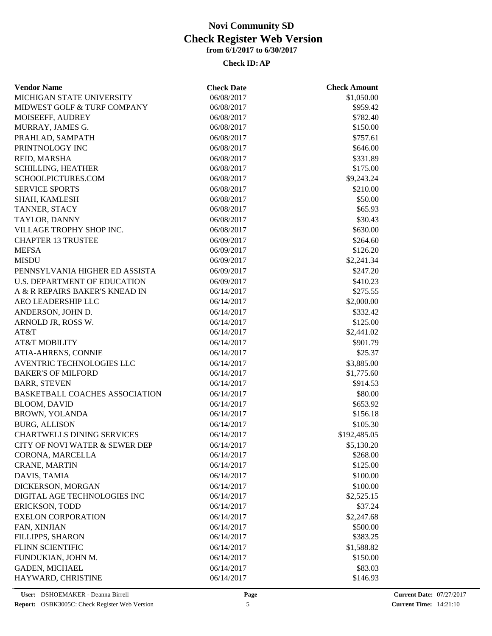| <b>Vendor Name</b>                    | <b>Check Date</b>        | <b>Check Amount</b> |  |
|---------------------------------------|--------------------------|---------------------|--|
| MICHIGAN STATE UNIVERSITY             | 06/08/2017               | \$1,050.00          |  |
| MIDWEST GOLF & TURF COMPANY           | 06/08/2017               | \$959.42            |  |
| MOISEEFF, AUDREY                      | 06/08/2017               | \$782.40            |  |
| MURRAY, JAMES G.                      | 06/08/2017               | \$150.00            |  |
| PRAHLAD, SAMPATH                      | 06/08/2017               | \$757.61            |  |
| PRINTNOLOGY INC                       | 06/08/2017               | \$646.00            |  |
| REID, MARSHA                          | 06/08/2017               | \$331.89            |  |
| <b>SCHILLING, HEATHER</b>             | 06/08/2017               | \$175.00            |  |
| SCHOOLPICTURES.COM                    | 06/08/2017               | \$9,243.24          |  |
| <b>SERVICE SPORTS</b>                 | 06/08/2017               | \$210.00            |  |
| SHAH, KAMLESH                         | 06/08/2017               | \$50.00             |  |
| TANNER, STACY                         | 06/08/2017               | \$65.93             |  |
| TAYLOR, DANNY                         | 06/08/2017               | \$30.43             |  |
| VILLAGE TROPHY SHOP INC.              | 06/08/2017               | \$630.00            |  |
| <b>CHAPTER 13 TRUSTEE</b>             | 06/09/2017               | \$264.60            |  |
| <b>MEFSA</b>                          | 06/09/2017               | \$126.20            |  |
| <b>MISDU</b>                          | 06/09/2017               | \$2,241.34          |  |
| PENNSYLVANIA HIGHER ED ASSISTA        | 06/09/2017               | \$247.20            |  |
| U.S. DEPARTMENT OF EDUCATION          | 06/09/2017               | \$410.23            |  |
| A & R REPAIRS BAKER'S KNEAD IN        | 06/14/2017               | \$275.55            |  |
| AEO LEADERSHIP LLC                    | 06/14/2017               | \$2,000.00          |  |
| ANDERSON, JOHN D.                     | 06/14/2017               | \$332.42            |  |
| ARNOLD JR, ROSS W.                    | 06/14/2017               | \$125.00            |  |
| AT&T                                  | 06/14/2017               | \$2,441.02          |  |
| <b>AT&amp;T MOBILITY</b>              | 06/14/2017               | \$901.79            |  |
| ATIA-AHRENS, CONNIE                   | 06/14/2017               | \$25.37             |  |
| AVENTRIC TECHNOLOGIES LLC             | 06/14/2017               | \$3,885.00          |  |
| <b>BAKER'S OF MILFORD</b>             | 06/14/2017               | \$1,775.60          |  |
| <b>BARR, STEVEN</b>                   | 06/14/2017               | \$914.53            |  |
| <b>BASKETBALL COACHES ASSOCIATION</b> | 06/14/2017               | \$80.00             |  |
| BLOOM, DAVID                          | 06/14/2017               | \$653.92            |  |
| BROWN, YOLANDA                        | 06/14/2017               | \$156.18            |  |
| <b>BURG, ALLISON</b>                  | 06/14/2017               | \$105.30            |  |
| <b>CHARTWELLS DINING SERVICES</b>     | 06/14/2017               | \$192,485.05        |  |
| CITY OF NOVI WATER & SEWER DEP        | 06/14/2017               | \$5,130.20          |  |
| CORONA, MARCELLA                      | 06/14/2017               | \$268.00            |  |
| <b>CRANE, MARTIN</b>                  | 06/14/2017               | \$125.00            |  |
| DAVIS, TAMIA                          | 06/14/2017               | \$100.00            |  |
| DICKERSON, MORGAN                     |                          | \$100.00            |  |
| DIGITAL AGE TECHNOLOGIES INC          | 06/14/2017<br>06/14/2017 | \$2,525.15          |  |
| ERICKSON, TODD                        | 06/14/2017               | \$37.24             |  |
|                                       |                          |                     |  |
| <b>EXELON CORPORATION</b>             | 06/14/2017               | \$2,247.68          |  |
| FAN, XINJIAN                          | 06/14/2017               | \$500.00            |  |
| <b>FILLIPPS, SHARON</b>               | 06/14/2017               | \$383.25            |  |
| FLINN SCIENTIFIC                      | 06/14/2017               | \$1,588.82          |  |
| FUNDUKIAN, JOHN M.                    | 06/14/2017               | \$150.00            |  |
| <b>GADEN, MICHAEL</b>                 | 06/14/2017               | \$83.03             |  |
| HAYWARD, CHRISTINE                    | 06/14/2017               | \$146.93            |  |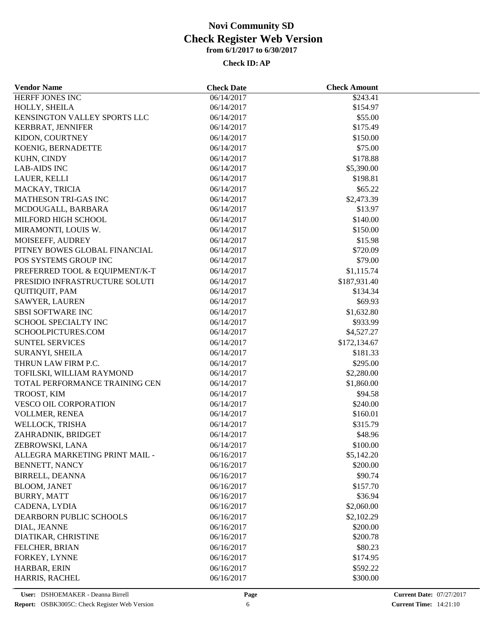| <b>Vendor Name</b>                        | <b>Check Date</b> | <b>Check Amount</b> |  |
|-------------------------------------------|-------------------|---------------------|--|
| <b>HERFF JONES INC</b>                    | 06/14/2017        | \$243.41            |  |
| HOLLY, SHEILA                             | 06/14/2017        | \$154.97            |  |
| KENSINGTON VALLEY SPORTS LLC              | 06/14/2017        | \$55.00             |  |
| KERBRAT, JENNIFER                         | 06/14/2017        | \$175.49            |  |
| KIDON, COURTNEY                           | 06/14/2017        | \$150.00            |  |
| KOENIG, BERNADETTE                        | 06/14/2017        | \$75.00             |  |
| KUHN, CINDY                               | 06/14/2017        | \$178.88            |  |
| <b>LAB-AIDS INC</b>                       | 06/14/2017        | \$5,390.00          |  |
| LAUER, KELLI                              | 06/14/2017        | \$198.81            |  |
| MACKAY, TRICIA                            | 06/14/2017        | \$65.22             |  |
| MATHESON TRI-GAS INC                      | 06/14/2017        | \$2,473.39          |  |
| MCDOUGALL, BARBARA                        | 06/14/2017        | \$13.97             |  |
| MILFORD HIGH SCHOOL                       | 06/14/2017        | \$140.00            |  |
| MIRAMONTI, LOUIS W.                       | 06/14/2017        | \$150.00            |  |
| MOISEEFF, AUDREY                          | 06/14/2017        | \$15.98             |  |
| PITNEY BOWES GLOBAL FINANCIAL             | 06/14/2017        | \$720.09            |  |
| POS SYSTEMS GROUP INC                     | 06/14/2017        | \$79.00             |  |
| PREFERRED TOOL & EQUIPMENT/K-T            | 06/14/2017        | \$1,115.74          |  |
| PRESIDIO INFRASTRUCTURE SOLUTI            | 06/14/2017        | \$187,931.40        |  |
| <b>QUITIQUIT, PAM</b>                     | 06/14/2017        | \$134.34            |  |
| SAWYER, LAUREN                            | 06/14/2017        | \$69.93             |  |
| <b>SBSI SOFTWARE INC</b>                  | 06/14/2017        | \$1,632.80          |  |
| SCHOOL SPECIALTY INC                      | 06/14/2017        | \$933.99            |  |
| SCHOOLPICTURES.COM                        | 06/14/2017        | \$4,527.27          |  |
| <b>SUNTEL SERVICES</b>                    | 06/14/2017        | \$172,134.67        |  |
| SURANYI, SHEILA                           | 06/14/2017        | \$181.33            |  |
| THRUN LAW FIRM P.C.                       | 06/14/2017        | \$295.00            |  |
| TOFILSKI, WILLIAM RAYMOND                 | 06/14/2017        | \$2,280.00          |  |
| TOTAL PERFORMANCE TRAINING CEN            | 06/14/2017        | \$1,860.00          |  |
| TROOST, KIM                               | 06/14/2017        | \$94.58             |  |
| <b>VESCO OIL CORPORATION</b>              | 06/14/2017        | \$240.00            |  |
| VOLLMER, RENEA                            | 06/14/2017        | \$160.01            |  |
| WELLOCK, TRISHA                           | 06/14/2017        | \$315.79            |  |
| ZAHRADNIK, BRIDGET                        | 06/14/2017        | \$48.96             |  |
| ZEBROWSKI, LANA                           | 06/14/2017        | \$100.00            |  |
| ALLEGRA MARKETING PRINT MAIL -            | 06/16/2017        | \$5,142.20          |  |
| BENNETT, NANCY                            | 06/16/2017        | \$200.00            |  |
|                                           | 06/16/2017        | \$90.74             |  |
| <b>BIRRELL, DEANNA</b>                    |                   |                     |  |
| <b>BLOOM, JANET</b><br><b>BURRY, MATT</b> | 06/16/2017        | \$157.70<br>\$36.94 |  |
|                                           | 06/16/2017        |                     |  |
| CADENA, LYDIA                             | 06/16/2017        | \$2,060.00          |  |
| DEARBORN PUBLIC SCHOOLS                   | 06/16/2017        | \$2,102.29          |  |
| DIAL, JEANNE                              | 06/16/2017        | \$200.00            |  |
| DIATIKAR, CHRISTINE                       | 06/16/2017        | \$200.78            |  |
| FELCHER, BRIAN                            | 06/16/2017        | \$80.23             |  |
| FORKEY, LYNNE                             | 06/16/2017        | \$174.95            |  |
| HARBAR, ERIN                              | 06/16/2017        | \$592.22            |  |
| HARRIS, RACHEL                            | 06/16/2017        | \$300.00            |  |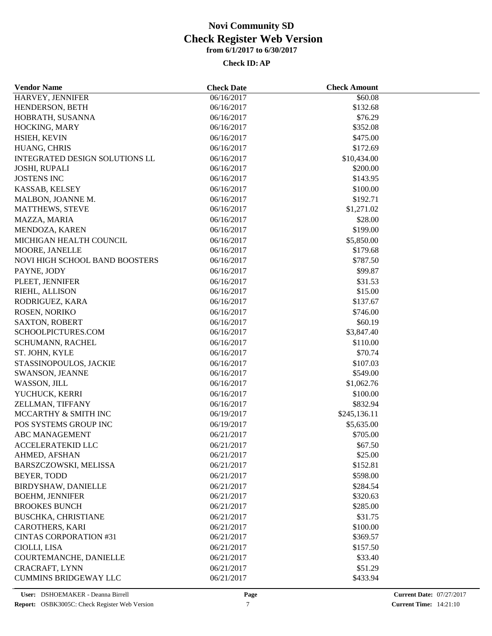| <b>Vendor Name</b>                    | <b>Check Date</b> | <b>Check Amount</b> |  |
|---------------------------------------|-------------------|---------------------|--|
| HARVEY, JENNIFER                      | 06/16/2017        | \$60.08             |  |
| HENDERSON, BETH                       | 06/16/2017        | \$132.68            |  |
| HOBRATH, SUSANNA                      | 06/16/2017        | \$76.29             |  |
| HOCKING, MARY                         | 06/16/2017        | \$352.08            |  |
| HSIEH, KEVIN                          | 06/16/2017        | \$475.00            |  |
| HUANG, CHRIS                          | 06/16/2017        | \$172.69            |  |
| <b>INTEGRATED DESIGN SOLUTIONS LL</b> | 06/16/2017        | \$10,434.00         |  |
| <b>JOSHI, RUPALI</b>                  | 06/16/2017        | \$200.00            |  |
| <b>JOSTENS INC</b>                    | 06/16/2017        | \$143.95            |  |
| KASSAB, KELSEY                        | 06/16/2017        | \$100.00            |  |
| MALBON, JOANNE M.                     | 06/16/2017        | \$192.71            |  |
| <b>MATTHEWS, STEVE</b>                | 06/16/2017        | \$1,271.02          |  |
| MAZZA, MARIA                          | 06/16/2017        | \$28.00             |  |
| MENDOZA, KAREN                        | 06/16/2017        | \$199.00            |  |
| MICHIGAN HEALTH COUNCIL               | 06/16/2017        | \$5,850.00          |  |
| MOORE, JANELLE                        | 06/16/2017        | \$179.68            |  |
| NOVI HIGH SCHOOL BAND BOOSTERS        | 06/16/2017        | \$787.50            |  |
| PAYNE, JODY                           | 06/16/2017        | \$99.87             |  |
| PLEET, JENNIFER                       | 06/16/2017        | \$31.53             |  |
| RIEHL, ALLISON                        | 06/16/2017        | \$15.00             |  |
| RODRIGUEZ, KARA                       | 06/16/2017        | \$137.67            |  |
| ROSEN, NORIKO                         | 06/16/2017        | \$746.00            |  |
| <b>SAXTON, ROBERT</b>                 | 06/16/2017        | \$60.19             |  |
| SCHOOLPICTURES.COM                    | 06/16/2017        | \$3,847.40          |  |
| SCHUMANN, RACHEL                      | 06/16/2017        | \$110.00            |  |
| ST. JOHN, KYLE                        | 06/16/2017        | \$70.74             |  |
| STASSINOPOULOS, JACKIE                | 06/16/2017        | \$107.03            |  |
| SWANSON, JEANNE                       | 06/16/2017        | \$549.00            |  |
| WASSON, JILL                          | 06/16/2017        | \$1,062.76          |  |
| YUCHUCK, KERRI                        | 06/16/2017        | \$100.00            |  |
| ZELLMAN, TIFFANY                      | 06/16/2017        | \$832.94            |  |
| MCCARTHY & SMITH INC                  | 06/19/2017        | \$245,136.11        |  |
| POS SYSTEMS GROUP INC                 | 06/19/2017        | \$5,635.00          |  |
| <b>ABC MANAGEMENT</b>                 | 06/21/2017        | \$705.00            |  |
| <b>ACCELERATEKID LLC</b>              | 06/21/2017        | \$67.50             |  |
| AHMED, AFSHAN                         | 06/21/2017        | \$25.00             |  |
| BARSZCZOWSKI, MELISSA                 | 06/21/2017        | \$152.81            |  |
| <b>BEYER, TODD</b>                    | 06/21/2017        | \$598.00            |  |
| BIRDYSHAW, DANIELLE                   | 06/21/2017        | \$284.54            |  |
| <b>BOEHM, JENNIFER</b>                | 06/21/2017        | \$320.63            |  |
| <b>BROOKES BUNCH</b>                  | 06/21/2017        | \$285.00            |  |
| BUSCHKA, CHRISTIANE                   | 06/21/2017        | \$31.75             |  |
| CAROTHERS, KARI                       | 06/21/2017        | \$100.00            |  |
| <b>CINTAS CORPORATION #31</b>         | 06/21/2017        | \$369.57            |  |
| CIOLLI, LISA                          | 06/21/2017        | \$157.50            |  |
| COURTEMANCHE, DANIELLE                | 06/21/2017        | \$33.40             |  |
| <b>CRACRAFT, LYNN</b>                 | 06/21/2017        | \$51.29             |  |
| <b>CUMMINS BRIDGEWAY LLC</b>          | 06/21/2017        | \$433.94            |  |
|                                       |                   |                     |  |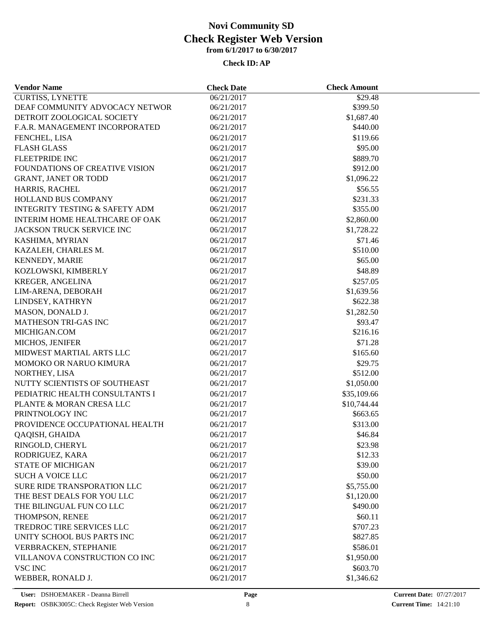| <b>Vendor Name</b>                        | <b>Check Date</b> | <b>Check Amount</b> |  |
|-------------------------------------------|-------------------|---------------------|--|
| <b>CURTISS, LYNETTE</b>                   | 06/21/2017        | \$29.48             |  |
| DEAF COMMUNITY ADVOCACY NETWOR            | 06/21/2017        | \$399.50            |  |
| DETROIT ZOOLOGICAL SOCIETY                | 06/21/2017        | \$1,687.40          |  |
| F.A.R. MANAGEMENT INCORPORATED            | 06/21/2017        | \$440.00            |  |
| FENCHEL, LISA                             | 06/21/2017        | \$119.66            |  |
| <b>FLASH GLASS</b>                        | 06/21/2017        | \$95.00             |  |
| <b>FLEETPRIDE INC</b>                     | 06/21/2017        | \$889.70            |  |
| FOUNDATIONS OF CREATIVE VISION            | 06/21/2017        | \$912.00            |  |
| GRANT, JANET OR TODD                      | 06/21/2017        | \$1,096.22          |  |
| HARRIS, RACHEL                            | 06/21/2017        | \$56.55             |  |
| HOLLAND BUS COMPANY                       | 06/21/2017        | \$231.33            |  |
| <b>INTEGRITY TESTING &amp; SAFETY ADM</b> | 06/21/2017        | \$355.00            |  |
| INTERIM HOME HEALTHCARE OF OAK            | 06/21/2017        | \$2,860.00          |  |
| JACKSON TRUCK SERVICE INC                 | 06/21/2017        | \$1,728.22          |  |
| KASHIMA, MYRIAN                           | 06/21/2017        | \$71.46             |  |
| KAZALEH, CHARLES M.                       | 06/21/2017        | \$510.00            |  |
| KENNEDY, MARIE                            | 06/21/2017        | \$65.00             |  |
| KOZLOWSKI, KIMBERLY                       | 06/21/2017        | \$48.89             |  |
| KREGER, ANGELINA                          | 06/21/2017        | \$257.05            |  |
| LIM-ARENA, DEBORAH                        | 06/21/2017        | \$1,639.56          |  |
| LINDSEY, KATHRYN                          | 06/21/2017        | \$622.38            |  |
| MASON, DONALD J.                          | 06/21/2017        | \$1,282.50          |  |
| <b>MATHESON TRI-GAS INC</b>               | 06/21/2017        | \$93.47             |  |
| MICHIGAN.COM                              | 06/21/2017        | \$216.16            |  |
| MICHOS, JENIFER                           | 06/21/2017        | \$71.28             |  |
| MIDWEST MARTIAL ARTS LLC                  | 06/21/2017        | \$165.60            |  |
| MOMOKO OR NARUO KIMURA                    | 06/21/2017        | \$29.75             |  |
| NORTHEY, LISA                             | 06/21/2017        | \$512.00            |  |
| NUTTY SCIENTISTS OF SOUTHEAST             | 06/21/2017        | \$1,050.00          |  |
| PEDIATRIC HEALTH CONSULTANTS I            | 06/21/2017        | \$35,109.66         |  |
| PLANTE & MORAN CRESA LLC                  | 06/21/2017        | \$10,744.44         |  |
| PRINTNOLOGY INC                           | 06/21/2017        | \$663.65            |  |
| PROVIDENCE OCCUPATIONAL HEALTH            | 06/21/2017        | \$313.00            |  |
| QAQISH, GHAIDA                            | 06/21/2017        | \$46.84             |  |
| RINGOLD, CHERYL                           | 06/21/2017        | \$23.98             |  |
| RODRIGUEZ, KARA                           | 06/21/2017        | \$12.33             |  |
| <b>STATE OF MICHIGAN</b>                  | 06/21/2017        | \$39.00             |  |
| <b>SUCH A VOICE LLC</b>                   | 06/21/2017        | \$50.00             |  |
| SURE RIDE TRANSPORATION LLC               | 06/21/2017        | \$5,755.00          |  |
| THE BEST DEALS FOR YOU LLC                | 06/21/2017        | \$1,120.00          |  |
| THE BILINGUAL FUN CO LLC                  | 06/21/2017        | \$490.00            |  |
| THOMPSON, RENEE                           | 06/21/2017        | \$60.11             |  |
| TREDROC TIRE SERVICES LLC                 | 06/21/2017        | \$707.23            |  |
| UNITY SCHOOL BUS PARTS INC                | 06/21/2017        | \$827.85            |  |
| VERBRACKEN, STEPHANIE                     | 06/21/2017        | \$586.01            |  |
| VILLANOVA CONSTRUCTION CO INC             | 06/21/2017        | \$1,950.00          |  |
| <b>VSC INC</b>                            | 06/21/2017        | \$603.70            |  |
| WEBBER, RONALD J.                         | 06/21/2017        | \$1,346.62          |  |
|                                           |                   |                     |  |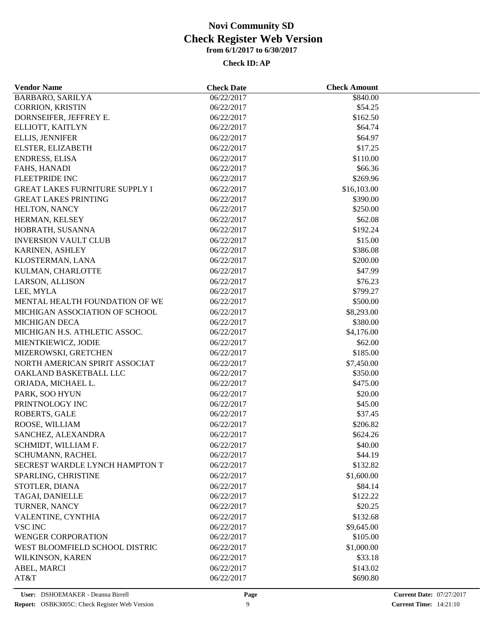| <b>Vendor Name</b>                    | <b>Check Date</b> | <b>Check Amount</b> |  |
|---------------------------------------|-------------------|---------------------|--|
| <b>BARBARO, SARILYA</b>               | 06/22/2017        | \$840.00            |  |
| <b>CORRION, KRISTIN</b>               | 06/22/2017        | \$54.25             |  |
| DORNSEIFER, JEFFREY E.                | 06/22/2017        | \$162.50            |  |
| ELLIOTT, KAITLYN                      | 06/22/2017        | \$64.74             |  |
| <b>ELLIS, JENNIFER</b>                | 06/22/2017        | \$64.97             |  |
| ELSTER, ELIZABETH                     | 06/22/2017        | \$17.25             |  |
| <b>ENDRESS, ELISA</b>                 | 06/22/2017        | \$110.00            |  |
| FAHS, HANADI                          | 06/22/2017        | \$66.36             |  |
| FLEETPRIDE INC                        | 06/22/2017        | \$269.96            |  |
| <b>GREAT LAKES FURNITURE SUPPLY I</b> | 06/22/2017        | \$16,103.00         |  |
| <b>GREAT LAKES PRINTING</b>           | 06/22/2017        | \$390.00            |  |
| HELTON, NANCY                         | 06/22/2017        | \$250.00            |  |
| HERMAN, KELSEY                        | 06/22/2017        | \$62.08             |  |
| HOBRATH, SUSANNA                      | 06/22/2017        | \$192.24            |  |
| <b>INVERSION VAULT CLUB</b>           | 06/22/2017        | \$15.00             |  |
| KARINEN, ASHLEY                       | 06/22/2017        | \$386.08            |  |
| KLOSTERMAN, LANA                      | 06/22/2017        | \$200.00            |  |
| KULMAN, CHARLOTTE                     | 06/22/2017        | \$47.99             |  |
| LARSON, ALLISON                       | 06/22/2017        | \$76.23             |  |
| LEE, MYLA                             | 06/22/2017        | \$799.27            |  |
| MENTAL HEALTH FOUNDATION OF WE        | 06/22/2017        | \$500.00            |  |
| MICHIGAN ASSOCIATION OF SCHOOL        | 06/22/2017        | \$8,293.00          |  |
| <b>MICHIGAN DECA</b>                  | 06/22/2017        | \$380.00            |  |
| MICHIGAN H.S. ATHLETIC ASSOC.         | 06/22/2017        | \$4,176.00          |  |
| MIENTKIEWICZ, JODIE                   | 06/22/2017        | \$62.00             |  |
| MIZEROWSKI, GRETCHEN                  | 06/22/2017        | \$185.00            |  |
| NORTH AMERICAN SPIRIT ASSOCIAT        | 06/22/2017        | \$7,450.00          |  |
| OAKLAND BASKETBALL LLC                | 06/22/2017        | \$350.00            |  |
| ORJADA, MICHAEL L.                    | 06/22/2017        | \$475.00            |  |
| PARK, SOO HYUN                        | 06/22/2017        | \$20.00             |  |
| PRINTNOLOGY INC                       | 06/22/2017        | \$45.00             |  |
| ROBERTS, GALE                         | 06/22/2017        | \$37.45             |  |
| ROOSE, WILLIAM                        | 06/22/2017        | \$206.82            |  |
| SANCHEZ, ALEXANDRA                    | 06/22/2017        | \$624.26            |  |
| SCHMIDT, WILLIAM F.                   | 06/22/2017        | \$40.00             |  |
| SCHUMANN, RACHEL                      | 06/22/2017        | \$44.19             |  |
| SECREST WARDLE LYNCH HAMPTON T        | 06/22/2017        | \$132.82            |  |
| SPARLING, CHRISTINE                   | 06/22/2017        | \$1,600.00          |  |
| STOTLER, DIANA                        | 06/22/2017        | \$84.14             |  |
| TAGAI, DANIELLE                       | 06/22/2017        | \$122.22            |  |
| TURNER, NANCY                         | 06/22/2017        | \$20.25             |  |
| VALENTINE, CYNTHIA                    | 06/22/2017        | \$132.68            |  |
| <b>VSC INC</b>                        | 06/22/2017        | \$9,645.00          |  |
| <b>WENGER CORPORATION</b>             | 06/22/2017        | \$105.00            |  |
| WEST BLOOMFIELD SCHOOL DISTRIC        | 06/22/2017        | \$1,000.00          |  |
| WILKINSON, KAREN                      | 06/22/2017        | \$33.18             |  |
| ABEL, MARCI                           | 06/22/2017        | \$143.02            |  |
| AT&T                                  | 06/22/2017        | \$690.80            |  |
|                                       |                   |                     |  |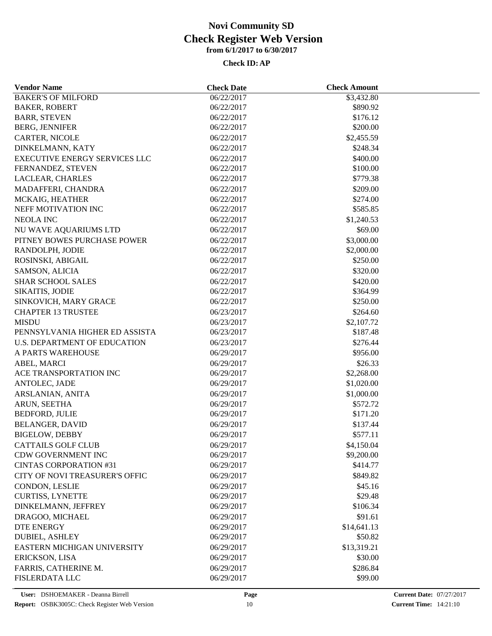| <b>Vendor Name</b>                  | <b>Check Date</b> | <b>Check Amount</b> |  |
|-------------------------------------|-------------------|---------------------|--|
| <b>BAKER'S OF MILFORD</b>           | 06/22/2017        | \$3,432.80          |  |
| <b>BAKER, ROBERT</b>                | 06/22/2017        | \$890.92            |  |
| <b>BARR, STEVEN</b>                 | 06/22/2017        | \$176.12            |  |
| <b>BERG, JENNIFER</b>               | 06/22/2017        | \$200.00            |  |
| <b>CARTER, NICOLE</b>               | 06/22/2017        | \$2,455.59          |  |
| DINKELMANN, KATY                    | 06/22/2017        | \$248.34            |  |
| EXECUTIVE ENERGY SERVICES LLC       | 06/22/2017        | \$400.00            |  |
| FERNANDEZ, STEVEN                   | 06/22/2017        | \$100.00            |  |
| LACLEAR, CHARLES                    | 06/22/2017        | \$779.38            |  |
| MADAFFERI, CHANDRA                  | 06/22/2017        | \$209.00            |  |
| MCKAIG, HEATHER                     | 06/22/2017        | \$274.00            |  |
| NEFF MOTIVATION INC                 | 06/22/2017        | \$585.85            |  |
| <b>NEOLA INC</b>                    | 06/22/2017        | \$1,240.53          |  |
| NU WAVE AQUARIUMS LTD               | 06/22/2017        | \$69.00             |  |
| PITNEY BOWES PURCHASE POWER         | 06/22/2017        | \$3,000.00          |  |
| RANDOLPH, JODIE                     | 06/22/2017        | \$2,000.00          |  |
| ROSINSKI, ABIGAIL                   | 06/22/2017        | \$250.00            |  |
| SAMSON, ALICIA                      | 06/22/2017        | \$320.00            |  |
| <b>SHAR SCHOOL SALES</b>            | 06/22/2017        | \$420.00            |  |
| SIKAITIS, JODIE                     | 06/22/2017        | \$364.99            |  |
| SINKOVICH, MARY GRACE               | 06/22/2017        | \$250.00            |  |
| <b>CHAPTER 13 TRUSTEE</b>           |                   |                     |  |
|                                     | 06/23/2017        | \$264.60            |  |
| <b>MISDU</b>                        | 06/23/2017        | \$2,107.72          |  |
| PENNSYLVANIA HIGHER ED ASSISTA      | 06/23/2017        | \$187.48            |  |
| <b>U.S. DEPARTMENT OF EDUCATION</b> | 06/23/2017        | \$276.44            |  |
| A PARTS WAREHOUSE                   | 06/29/2017        | \$956.00            |  |
| ABEL, MARCI                         | 06/29/2017        | \$26.33             |  |
| ACE TRANSPORTATION INC              | 06/29/2017        | \$2,268.00          |  |
| ANTOLEC, JADE                       | 06/29/2017        | \$1,020.00          |  |
| ARSLANIAN, ANITA                    | 06/29/2017        | \$1,000.00          |  |
| ARUN, SEETHA                        | 06/29/2017        | \$572.72            |  |
| BEDFORD, JULIE                      | 06/29/2017        | \$171.20            |  |
| <b>BELANGER, DAVID</b>              | 06/29/2017        | \$137.44            |  |
| <b>BIGELOW, DEBBY</b>               | 06/29/2017        | \$577.11            |  |
| <b>CATTAILS GOLF CLUB</b>           | 06/29/2017        | \$4,150.04          |  |
| CDW GOVERNMENT INC                  | 06/29/2017        | \$9,200.00          |  |
| <b>CINTAS CORPORATION #31</b>       | 06/29/2017        | \$414.77            |  |
| CITY OF NOVI TREASURER'S OFFIC      | 06/29/2017        | \$849.82            |  |
| <b>CONDON, LESLIE</b>               | 06/29/2017        | \$45.16             |  |
| <b>CURTISS, LYNETTE</b>             | 06/29/2017        | \$29.48             |  |
| DINKELMANN, JEFFREY                 | 06/29/2017        | \$106.34            |  |
| DRAGOO, MICHAEL                     | 06/29/2017        | \$91.61             |  |
| <b>DTE ENERGY</b>                   | 06/29/2017        | \$14,641.13         |  |
| <b>DUBIEL, ASHLEY</b>               | 06/29/2017        | \$50.82             |  |
| EASTERN MICHIGAN UNIVERSITY         | 06/29/2017        | \$13,319.21         |  |
| ERICKSON, LISA                      | 06/29/2017        | \$30.00             |  |
| FARRIS, CATHERINE M.                | 06/29/2017        | \$286.84            |  |
| FISLERDATA LLC                      | 06/29/2017        | \$99.00             |  |
|                                     |                   |                     |  |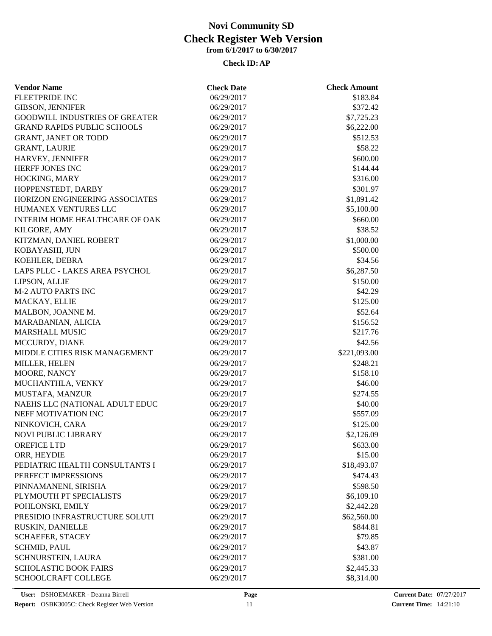| <b>Vendor Name</b>                    | <b>Check Date</b> | <b>Check Amount</b> |  |
|---------------------------------------|-------------------|---------------------|--|
| <b>FLEETPRIDE INC</b>                 | 06/29/2017        | \$183.84            |  |
| <b>GIBSON, JENNIFER</b>               | 06/29/2017        | \$372.42            |  |
| <b>GOODWILL INDUSTRIES OF GREATER</b> | 06/29/2017        | \$7,725.23          |  |
| <b>GRAND RAPIDS PUBLIC SCHOOLS</b>    | 06/29/2017        | \$6,222.00          |  |
| <b>GRANT, JANET OR TODD</b>           | 06/29/2017        | \$512.53            |  |
| <b>GRANT, LAURIE</b>                  | 06/29/2017        | \$58.22             |  |
| HARVEY, JENNIFER                      | 06/29/2017        | \$600.00            |  |
| HERFF JONES INC                       | 06/29/2017        | \$144.44            |  |
| HOCKING, MARY                         | 06/29/2017        | \$316.00            |  |
| HOPPENSTEDT, DARBY                    | 06/29/2017        | \$301.97            |  |
| HORIZON ENGINEERING ASSOCIATES        | 06/29/2017        | \$1,891.42          |  |
| HUMANEX VENTURES LLC                  | 06/29/2017        | \$5,100.00          |  |
| INTERIM HOME HEALTHCARE OF OAK        | 06/29/2017        | \$660.00            |  |
| KILGORE, AMY                          | 06/29/2017        | \$38.52             |  |
| KITZMAN, DANIEL ROBERT                | 06/29/2017        | \$1,000.00          |  |
| KOBAYASHI, JUN                        | 06/29/2017        | \$500.00            |  |
| KOEHLER, DEBRA                        | 06/29/2017        | \$34.56             |  |
| LAPS PLLC - LAKES AREA PSYCHOL        | 06/29/2017        | \$6,287.50          |  |
| LIPSON, ALLIE                         | 06/29/2017        | \$150.00            |  |
| <b>M-2 AUTO PARTS INC</b>             | 06/29/2017        | \$42.29             |  |
| MACKAY, ELLIE                         | 06/29/2017        | \$125.00            |  |
| MALBON, JOANNE M.                     | 06/29/2017        | \$52.64             |  |
| MARABANIAN, ALICIA                    | 06/29/2017        | \$156.52            |  |
| <b>MARSHALL MUSIC</b>                 | 06/29/2017        | \$217.76            |  |
| MCCURDY, DIANE                        | 06/29/2017        | \$42.56             |  |
| MIDDLE CITIES RISK MANAGEMENT         | 06/29/2017        | \$221,093.00        |  |
| MILLER, HELEN                         | 06/29/2017        | \$248.21            |  |
| MOORE, NANCY                          | 06/29/2017        | \$158.10            |  |
| MUCHANTHLA, VENKY                     | 06/29/2017        | \$46.00             |  |
| MUSTAFA, MANZUR                       | 06/29/2017        | \$274.55            |  |
| NAEHS LLC (NATIONAL ADULT EDUC        | 06/29/2017        | \$40.00             |  |
| NEFF MOTIVATION INC                   | 06/29/2017        | \$557.09            |  |
| NINKOVICH, CARA                       | 06/29/2017        | \$125.00            |  |
| NOVI PUBLIC LIBRARY                   | 06/29/2017        | \$2,126.09          |  |
| OREFICE LTD                           | 06/29/2017        | \$633.00            |  |
| ORR, HEYDIE                           | 06/29/2017        | \$15.00             |  |
| PEDIATRIC HEALTH CONSULTANTS I        | 06/29/2017        | \$18,493.07         |  |
| PERFECT IMPRESSIONS                   | 06/29/2017        | \$474.43            |  |
| PINNAMANENI, SIRISHA                  | 06/29/2017        | \$598.50            |  |
| PLYMOUTH PT SPECIALISTS               | 06/29/2017        | \$6,109.10          |  |
| POHLONSKI, EMILY                      | 06/29/2017        | \$2,442.28          |  |
| PRESIDIO INFRASTRUCTURE SOLUTI        | 06/29/2017        | \$62,560.00         |  |
| RUSKIN, DANIELLE                      | 06/29/2017        | \$844.81            |  |
|                                       | 06/29/2017        | \$79.85             |  |
| <b>SCHAEFER, STACEY</b>               |                   |                     |  |
| <b>SCHMID, PAUL</b>                   | 06/29/2017        | \$43.87             |  |
| SCHNURSTEIN, LAURA                    | 06/29/2017        | \$381.00            |  |
| <b>SCHOLASTIC BOOK FAIRS</b>          | 06/29/2017        | \$2,445.33          |  |
| SCHOOLCRAFT COLLEGE                   | 06/29/2017        | \$8,314.00          |  |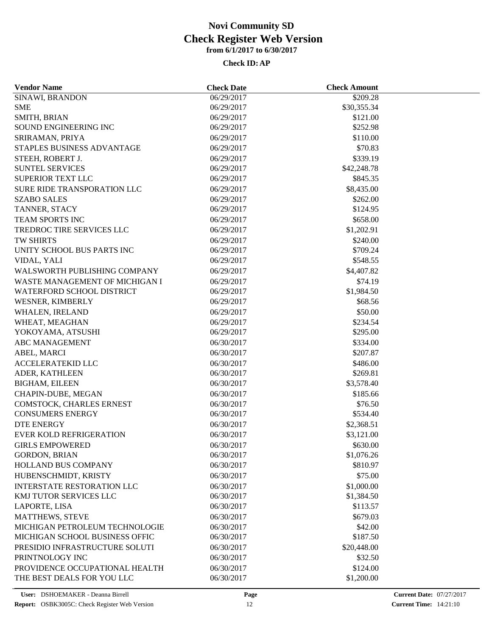| <b>Vendor Name</b>                | <b>Check Date</b>        | <b>Check Amount</b>  |  |
|-----------------------------------|--------------------------|----------------------|--|
| SINAWI, BRANDON                   | 06/29/2017               | \$209.28             |  |
| <b>SME</b>                        | 06/29/2017               | \$30,355.34          |  |
| SMITH, BRIAN                      | 06/29/2017               | \$121.00             |  |
| SOUND ENGINEERING INC             | 06/29/2017               | \$252.98             |  |
| SRIRAMAN, PRIYA                   | 06/29/2017               | \$110.00             |  |
| STAPLES BUSINESS ADVANTAGE        | 06/29/2017               | \$70.83              |  |
| STEEH, ROBERT J.                  | 06/29/2017               | \$339.19             |  |
| <b>SUNTEL SERVICES</b>            | 06/29/2017               | \$42,248.78          |  |
| <b>SUPERIOR TEXT LLC</b>          | 06/29/2017               | \$845.35             |  |
| SURE RIDE TRANSPORATION LLC       | 06/29/2017               | \$8,435.00           |  |
| <b>SZABO SALES</b>                | 06/29/2017               | \$262.00             |  |
| TANNER, STACY                     | 06/29/2017               | \$124.95             |  |
| <b>TEAM SPORTS INC</b>            | 06/29/2017               | \$658.00             |  |
| TREDROC TIRE SERVICES LLC         | 06/29/2017               | \$1,202.91           |  |
| <b>TW SHIRTS</b>                  | 06/29/2017               | \$240.00             |  |
| UNITY SCHOOL BUS PARTS INC        | 06/29/2017               | \$709.24             |  |
| VIDAL, YALI                       | 06/29/2017               | \$548.55             |  |
| WALSWORTH PUBLISHING COMPANY      | 06/29/2017               | \$4,407.82           |  |
| WASTE MANAGEMENT OF MICHIGAN I    | 06/29/2017               | \$74.19              |  |
| WATERFORD SCHOOL DISTRICT         | 06/29/2017               | \$1,984.50           |  |
| WESNER, KIMBERLY                  | 06/29/2017               | \$68.56              |  |
| WHALEN, IRELAND                   | 06/29/2017               | \$50.00              |  |
|                                   |                          |                      |  |
| WHEAT, MEAGHAN                    | 06/29/2017<br>06/29/2017 | \$234.54<br>\$295.00 |  |
| YOKOYAMA, ATSUSHI                 |                          |                      |  |
| <b>ABC MANAGEMENT</b>             | 06/30/2017               | \$334.00             |  |
| ABEL, MARCI                       | 06/30/2017               | \$207.87             |  |
| <b>ACCELERATEKID LLC</b>          | 06/30/2017               | \$486.00             |  |
| ADER, KATHLEEN                    | 06/30/2017               | \$269.81             |  |
| <b>BIGHAM, EILEEN</b>             | 06/30/2017               | \$3,578.40           |  |
| CHAPIN-DUBE, MEGAN                | 06/30/2017               | \$185.66             |  |
| COMSTOCK, CHARLES ERNEST          | 06/30/2017               | \$76.50              |  |
| <b>CONSUMERS ENERGY</b>           | 06/30/2017               | \$534.40             |  |
| <b>DTE ENERGY</b>                 | 06/30/2017               | \$2,368.51           |  |
| <b>EVER KOLD REFRIGERATION</b>    | 06/30/2017               | \$3,121.00           |  |
| <b>GIRLS EMPOWERED</b>            | 06/30/2017               | \$630.00             |  |
| <b>GORDON, BRIAN</b>              | 06/30/2017               | \$1,076.26           |  |
| HOLLAND BUS COMPANY               | 06/30/2017               | \$810.97             |  |
| HUBENSCHMIDT, KRISTY              | 06/30/2017               | \$75.00              |  |
| <b>INTERSTATE RESTORATION LLC</b> | 06/30/2017               | \$1,000.00           |  |
| KMJ TUTOR SERVICES LLC            | 06/30/2017               | \$1,384.50           |  |
| LAPORTE, LISA                     | 06/30/2017               | \$113.57             |  |
| <b>MATTHEWS, STEVE</b>            | 06/30/2017               | \$679.03             |  |
| MICHIGAN PETROLEUM TECHNOLOGIE    | 06/30/2017               | \$42.00              |  |
| MICHIGAN SCHOOL BUSINESS OFFIC    | 06/30/2017               | \$187.50             |  |
| PRESIDIO INFRASTRUCTURE SOLUTI    | 06/30/2017               | \$20,448.00          |  |
| PRINTNOLOGY INC                   | 06/30/2017               | \$32.50              |  |
| PROVIDENCE OCCUPATIONAL HEALTH    | 06/30/2017               | \$124.00             |  |
| THE BEST DEALS FOR YOU LLC        | 06/30/2017               | \$1,200.00           |  |
|                                   |                          |                      |  |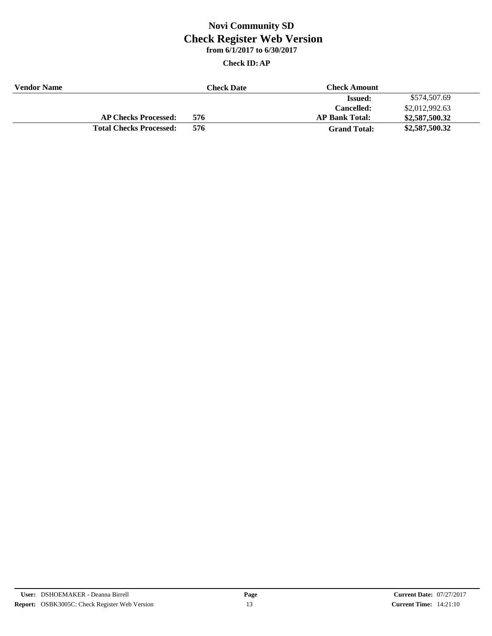| <b>Vendor Name</b> |                                | Check Date : | <b>Check Amount</b>   |                |
|--------------------|--------------------------------|--------------|-----------------------|----------------|
|                    |                                |              | <b>Issued:</b>        | \$574,507.69   |
|                    |                                |              | <b>Cancelled:</b>     | \$2,012,992.63 |
|                    | <b>AP Checks Processed:</b>    | 576          | <b>AP Bank Total:</b> | \$2,587,500.32 |
|                    | <b>Total Checks Processed:</b> | 576          | <b>Grand Total:</b>   | \$2,587,500.32 |